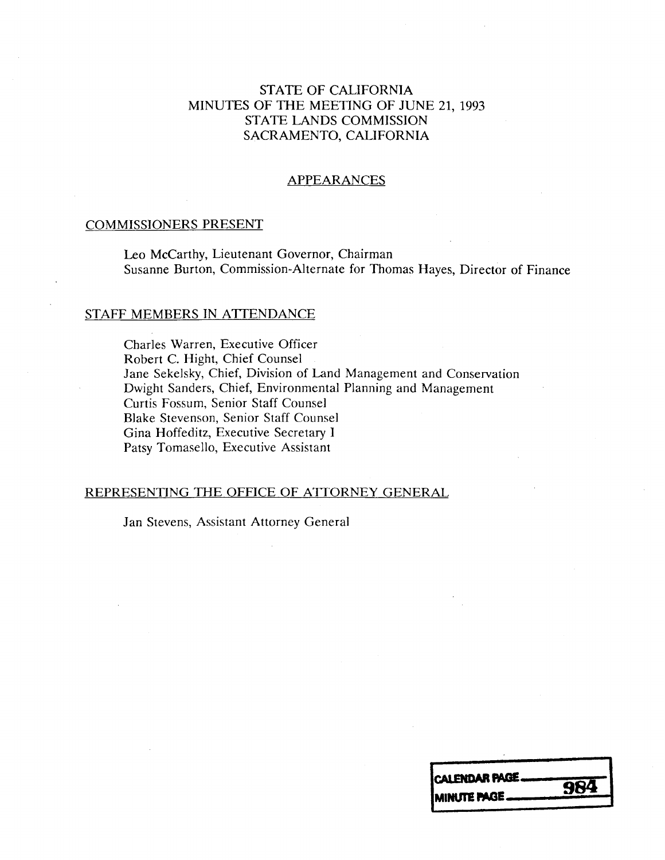## STATE OF CALIFORNIA MINUTES OF THE MEETING OF JUNE 21, 1993 STATE LANDS COMMISSION SACRAMENTO, CALIFORNIA

### APPEARANCES

#### COMMISSIONERS PRESENT

Leo Mccarthy, Lieutenant Governor, Chairman Susanne Burton, Commission-Alternate for Thomas Hayes, Director of Finance

### STAFF MEMBERS IN ATTENDANCE

Charles Warren, Executive Officer Robert C. Hight, Chief Counsel Jane Sekelsky, Chief, Division of Land Management and Conservation Dwight Sanders, Chief, Environmental Planning and Management Curtis Fossum, Senior Staff Counsel Blake Stevenson, Senior Staff Counsel Gina Hoffeditz, Executive Secretary I Patsy Tomasello, Executive Assistant

#### REPRESENTING THE OFFICE OF ATTORNEY GENERAL

Jan Stevens, Assistant Attorney General

| CALENDAR PAGE       | 984 |
|---------------------|-----|
| <b>IMINUTE PAGE</b> |     |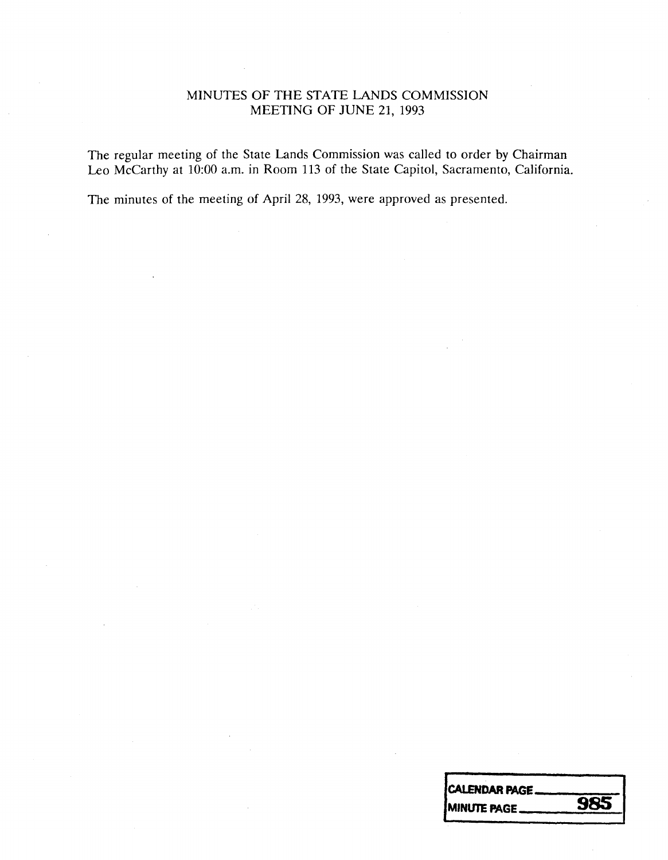## MINUTES OF THE STATE LANDS COMMISSION MEETING OF JUNE 21, 1993

The regular meeting of the State Lands Commission was called to order by Chairman Leo Mccarthy at 10:00 a.m. in Room 113 of the State Capitol, Sacramento, California.

The minutes of the meeting of April 28, 1993, were approved as presented.

| <b>CALENDAR PAGE.</b> |     |
|-----------------------|-----|
| <b>IMINUTE PAGE.</b>  | 985 |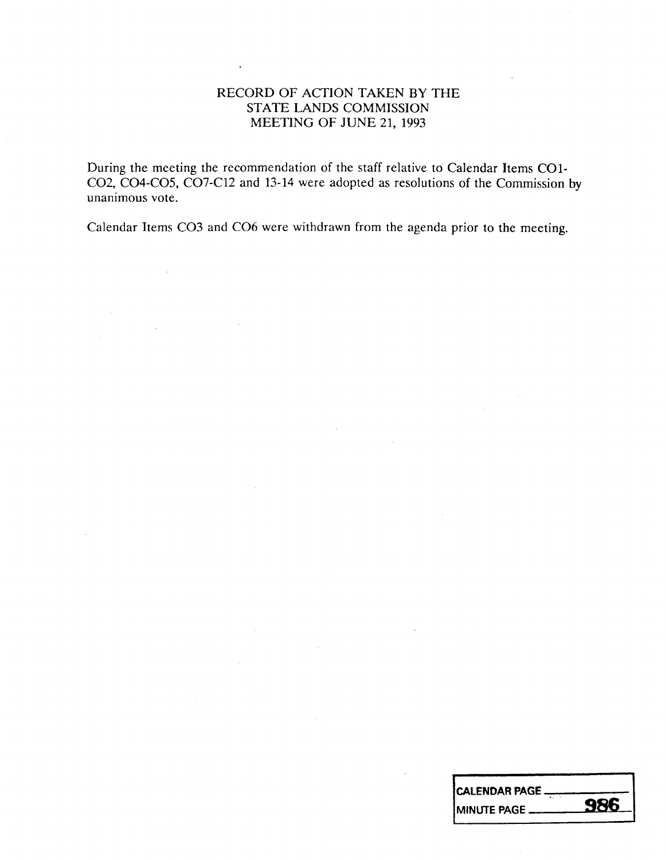## RECORD OF ACTION TAKEN BY THE STATE LANDS COMMISSION MEETING OF JUNE 21, 1993

During the meeting the recommendation of the staff relative to Calendar Items CO1- CO2, CO4-CO5, CO7-C12 and 13-14 were adopted as resolutions of the Commission by unanimous vote.

Calendar Items CO3 and CO6 were withdrawn from the agenda prior to the meeting.

| ICALENDAR PAGE __ |            |
|-------------------|------------|
| IMINUTE PAGE ___  | <b>986</b> |